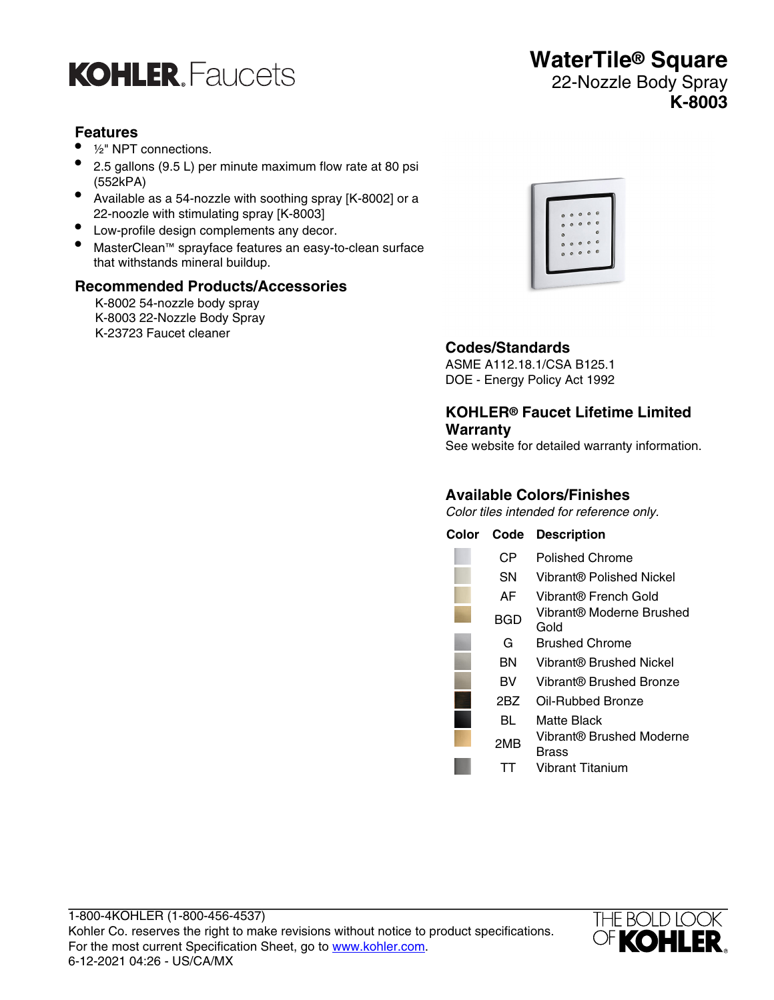

# **Features**

- <sup>1/2"</sup> NPT connections.
- 2.5 gallons (9.5 L) per minute maximum flow rate at 80 psi (552kPA)
- Available as a 54-nozzle with soothing spray [K-8002] or a 22-noozle with stimulating spray [K-8003]
- Low-profile design complements any decor.
- MasterClean™ sprayface features an easy-to-clean surface that withstands mineral buildup.

# **Recommended Products/Accessories**

K-8002 54-nozzle body spray K-8003 22-Nozzle Body Spray K-23723 Faucet cleaner



**WaterTile® Square** 22-Nozzle Body Spray

**K-8003**

# **Codes/Standards**

ASME A112.18.1/CSA B125.1 DOE - Energy Policy Act 1992

# **KOHLER® Faucet Lifetime Limited Warranty**

See website for detailed warranty information.

# **Available Colors/Finishes**

Color tiles intended for reference only.

| Color | Code | <b>Description</b>                |
|-------|------|-----------------------------------|
|       | CР   | Polished Chrome                   |
|       | SΝ   | Vibrant® Polished Nickel          |
|       | AF   | Vibrant® French Gold              |
|       | BGD  | Vibrant® Moderne Brushed<br>Gold  |
|       | G    | Brushed Chrome                    |
|       | ΒN   | Vibrant® Brushed Nickel           |
|       | BV   | Vibrant® Brushed Bronze           |
|       | 2BZ  | Oil-Rubbed Bronze                 |
|       | BL   | Matte Black                       |
|       | 2MB  | Vibrant® Brushed Moderne<br>Brass |
|       |      | <b>Vibrant Titanium</b>           |